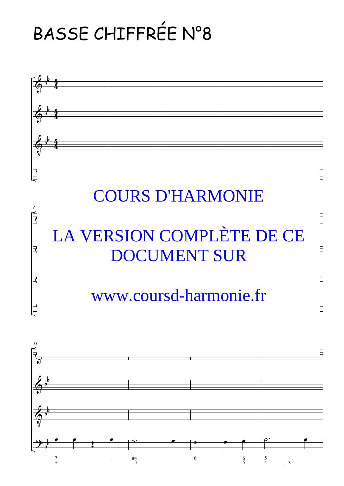## BASSE CHIFFRÉE N°8